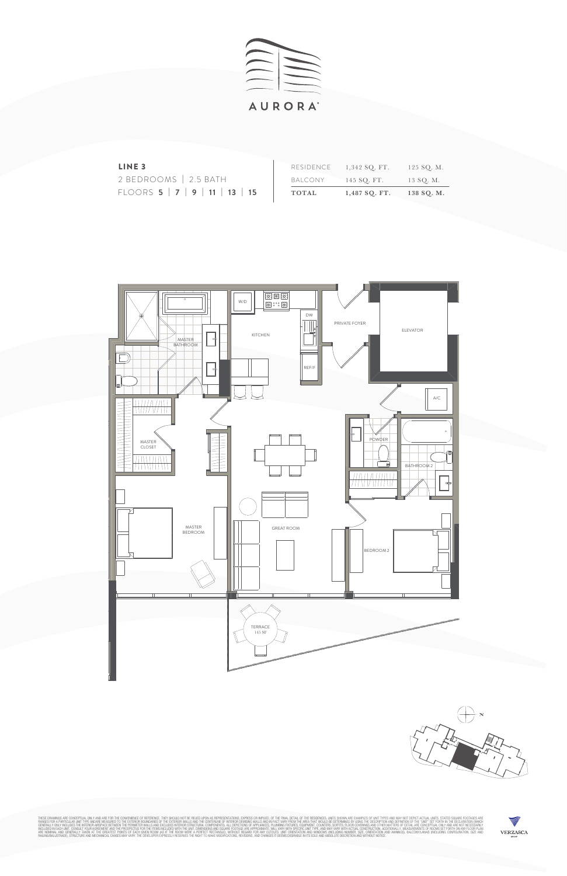



THES DARMINGS ARE CONCEPTIAL ONLY AND ARE SON THE STEERINGE THE EXTERIOR WALLS AND THE CENTERING DEMISSION DRIVING SURFAINT DRIVING IN THE RESIDENT ONLY AND THE STRONG SURFAINED OF THE EXTERIOR POLITION OF THE EXTERIOR POL





| LINE <sub>3</sub>                                |              | $RESIDENCE$ $1,342$ SO. FT. | 125 SQ. M. |
|--------------------------------------------------|--------------|-----------------------------|------------|
| 2 BEDROOMS   2.5 BATH                            |              | BALCONY 145 SO. FT.         | 13 SO. M.  |
| FLOORS $5 \mid 7 \mid 9 \mid 11 \mid 13 \mid 15$ | <b>TOTAL</b> | $1,487$ SQ. FT.             | 138 SQ. M. |